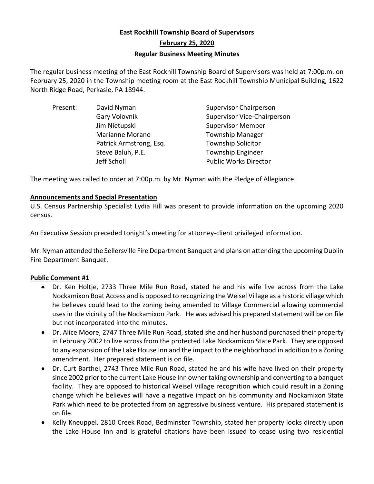# **East Rockhill Township Board of Supervisors February 25, 2020 Regular Business Meeting Minutes**

The regular business meeting of the East Rockhill Township Board of Supervisors was held at 7:00p.m. on February 25, 2020 in the Township meeting room at the East Rockhill Township Municipal Building, 1622 North Ridge Road, Perkasie, PA 18944.

| Present: | David Nyman             | <b>Supervisor Chairperson</b> |
|----------|-------------------------|-------------------------------|
|          | Gary Volovnik           | Supervisor Vice-Chairperson   |
|          | Jim Nietupski           | <b>Supervisor Member</b>      |
|          | Marianne Morano         | <b>Township Manager</b>       |
|          | Patrick Armstrong, Esq. | <b>Township Solicitor</b>     |
|          | Steve Baluh, P.E.       | <b>Township Engineer</b>      |
|          | Jeff Scholl             | <b>Public Works Director</b>  |
|          |                         |                               |

The meeting was called to order at 7:00p.m. by Mr. Nyman with the Pledge of Allegiance.

#### **Announcements and Special Presentation**

U.S. Census Partnership Specialist Lydia Hill was present to provide information on the upcoming 2020 census.

An Executive Session preceded tonight's meeting for attorney-client privileged information.

Mr. Nyman attended the Sellersville Fire Department Banquet and plans on attending the upcoming Dublin Fire Department Banquet.

### **Public Comment #1**

- Dr. Ken Holtje, 2733 Three Mile Run Road, stated he and his wife live across from the Lake Nockamixon Boat Access and is opposed to recognizing the Weisel Village as a historic village which he believes could lead to the zoning being amended to Village Commercial allowing commercial uses in the vicinity of the Nockamixon Park. He was advised his prepared statement will be on file but not incorporated into the minutes.
- Dr. Alice Moore, 2747 Three Mile Run Road, stated she and her husband purchased their property in February 2002 to live across from the protected Lake Nockamixon State Park. They are opposed to any expansion of the Lake House Inn and the impact to the neighborhood in addition to a Zoning amendment. Her prepared statement is on file.
- Dr. Curt Barthel, 2743 Three Mile Run Road, stated he and his wife have lived on their property since 2002 prior to the current Lake House Inn owner taking ownership and converting to a banquet facility. They are opposed to historical Weisel Village recognition which could result in a Zoning change which he believes will have a negative impact on his community and Nockamixon State Park which need to be protected from an aggressive business venture. His prepared statement is on file.
- Kelly Kneuppel, 2810 Creek Road, Bedminster Township, stated her property looks directly upon the Lake House Inn and is grateful citations have been issued to cease using two residential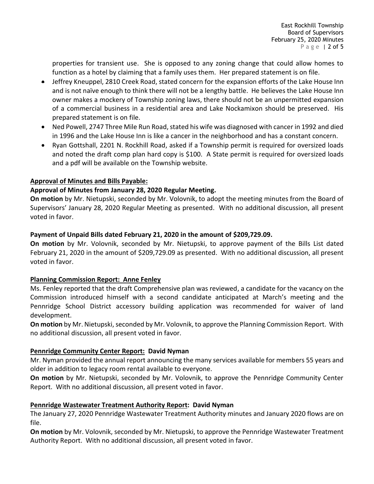properties for transient use. She is opposed to any zoning change that could allow homes to function as a hotel by claiming that a family uses them. Her prepared statement is on file.

- Jeffrey Kneuppel, 2810 Creek Road, stated concern for the expansion efforts of the Lake House Inn and is not naïve enough to think there will not be a lengthy battle. He believes the Lake House Inn owner makes a mockery of Township zoning laws, there should not be an unpermitted expansion of a commercial business in a residential area and Lake Nockamixon should be preserved. His prepared statement is on file.
- Ned Powell, 2747 Three Mile Run Road, stated his wife was diagnosed with cancer in 1992 and died in 1996 and the Lake House Inn is like a cancer in the neighborhood and has a constant concern.
- Ryan Gottshall, 2201 N. Rockhill Road, asked if a Township permit is required for oversized loads and noted the draft comp plan hard copy is \$100. A State permit is required for oversized loads and a pdf will be available on the Township website.

### **Approval of Minutes and Bills Payable:**

## **Approval of Minutes from January 28, 2020 Regular Meeting.**

**On motion** by Mr. Nietupski, seconded by Mr. Volovnik, to adopt the meeting minutes from the Board of Supervisors' January 28, 2020 Regular Meeting as presented. With no additional discussion, all present voted in favor.

## **Payment of Unpaid Bills dated February 21, 2020 in the amount of \$209,729.09.**

**On motion** by Mr. Volovnik, seconded by Mr. Nietupski, to approve payment of the Bills List dated February 21, 2020 in the amount of \$209,729.09 as presented. With no additional discussion, all present voted in favor.

### **Planning Commission Report: Anne Fenley**

Ms. Fenley reported that the draft Comprehensive plan was reviewed, a candidate for the vacancy on the Commission introduced himself with a second candidate anticipated at March's meeting and the Pennridge School District accessory building application was recommended for waiver of land development.

**On motion** by Mr. Nietupski, seconded by Mr. Volovnik, to approve the Planning Commission Report. With no additional discussion, all present voted in favor.

## **Pennridge Community Center Report: David Nyman**

Mr. Nyman provided the annual report announcing the many services available for members 55 years and older in addition to legacy room rental available to everyone.

**On motion** by Mr. Nietupski, seconded by Mr. Volovnik, to approve the Pennridge Community Center Report. With no additional discussion, all present voted in favor.

## **Pennridge Wastewater Treatment Authority Report: David Nyman**

The January 27, 2020 Pennridge Wastewater Treatment Authority minutes and January 2020 flows are on file.

**On motion** by Mr. Volovnik, seconded by Mr. Nietupski, to approve the Pennridge Wastewater Treatment Authority Report. With no additional discussion, all present voted in favor.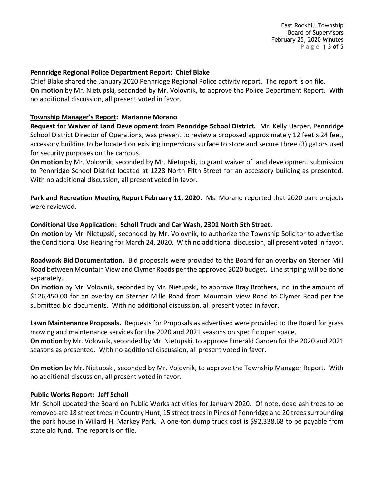East Rockhill Township Board of Supervisors February 25, 2020 Minutes P a g e | 3 of 5

#### **Pennridge Regional Police Department Report: Chief Blake**

Chief Blake shared the January 2020 Pennridge Regional Police activity report. The report is on file. **On motion** by Mr. Nietupski, seconded by Mr. Volovnik, to approve the Police Department Report. With no additional discussion, all present voted in favor.

#### **Township Manager's Report: Marianne Morano**

**Request for Waiver of Land Development from Pennridge School District.** Mr. Kelly Harper, Pennridge School District Director of Operations, was present to review a proposed approximately 12 feet x 24 feet, accessory building to be located on existing impervious surface to store and secure three (3) gators used for security purposes on the campus.

**On motion** by Mr. Volovnik, seconded by Mr. Nietupski, to grant waiver of land development submission to Pennridge School District located at 1228 North Fifth Street for an accessory building as presented. With no additional discussion, all present voted in favor.

**Park and Recreation Meeting Report February 11, 2020.** Ms. Morano reported that 2020 park projects were reviewed.

#### **Conditional Use Application: Scholl Truck and Car Wash, 2301 North 5th Street.**

**On motion** by Mr. Nietupski, seconded by Mr. Volovnik, to authorize the Township Solicitor to advertise the Conditional Use Hearing for March 24, 2020. With no additional discussion, all present voted in favor.

**Roadwork Bid Documentation.** Bid proposals were provided to the Board for an overlay on Sterner Mill Road between Mountain View and Clymer Roads per the approved 2020 budget. Line striping will be done separately.

**On motion** by Mr. Volovnik, seconded by Mr. Nietupski, to approve Bray Brothers, Inc. in the amount of \$126,450.00 for an overlay on Sterner Mille Road from Mountain View Road to Clymer Road per the submitted bid documents. With no additional discussion, all present voted in favor.

**Lawn Maintenance Proposals.** Requests for Proposals as advertised were provided to the Board for grass mowing and maintenance services for the 2020 and 2021 seasons on specific open space.

**On motion** by Mr. Volovnik, seconded by Mr. Nietupski, to approve Emerald Garden for the 2020 and 2021 seasons as presented. With no additional discussion, all present voted in favor.

**On motion** by Mr. Nietupski, seconded by Mr. Volovnik, to approve the Township Manager Report. With no additional discussion, all present voted in favor.

### **Public Works Report: Jeff Scholl**

Mr. Scholl updated the Board on Public Works activities for January 2020. Of note, dead ash trees to be removed are 18 street trees in Country Hunt; 15 street trees in Pines of Pennridge and 20 trees surrounding the park house in Willard H. Markey Park. A one-ton dump truck cost is \$92,338.68 to be payable from state aid fund. The report is on file.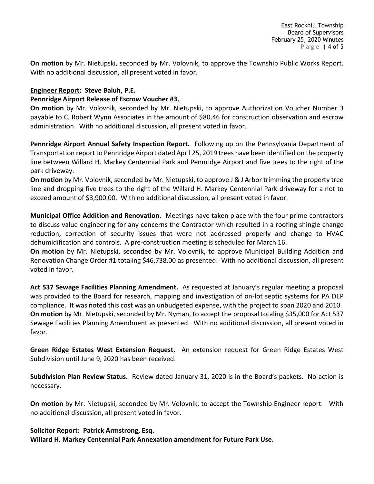**On motion** by Mr. Nietupski, seconded by Mr. Volovnik, to approve the Township Public Works Report. With no additional discussion, all present voted in favor.

#### **Engineer Report: Steve Baluh, P.E.**

#### **Pennridge Airport Release of Escrow Voucher #3.**

**On motion** by Mr. Volovnik, seconded by Mr. Nietupski, to approve Authorization Voucher Number 3 payable to C. Robert Wynn Associates in the amount of \$80.46 for construction observation and escrow administration. With no additional discussion, all present voted in favor.

**Pennridge Airport Annual Safety Inspection Report.** Following up on the Pennsylvania Department of Transportation report to Pennridge Airport dated April 25, 2019 trees have been identified on the property line between Willard H. Markey Centennial Park and Pennridge Airport and five trees to the right of the park driveway.

**On motion** by Mr. Volovnik, seconded by Mr. Nietupski, to approve J & J Arbor trimming the property tree line and dropping five trees to the right of the Willard H. Markey Centennial Park driveway for a not to exceed amount of \$3,900.00. With no additional discussion, all present voted in favor.

**Municipal Office Addition and Renovation.** Meetings have taken place with the four prime contractors to discuss value engineering for any concerns the Contractor which resulted in a roofing shingle change reduction, correction of security issues that were not addressed properly and change to HVAC dehumidification and controls. A pre-construction meeting is scheduled for March 16.

**On motion** by Mr. Nietupski, seconded by Mr. Volovnik, to approve Municipal Building Addition and Renovation Change Order #1 totaling \$46,738.00 as presented. With no additional discussion, all present voted in favor.

**Act 537 Sewage Facilities Planning Amendment.** As requested at January's regular meeting a proposal was provided to the Board for research, mapping and investigation of on-lot septic systems for PA DEP compliance. It was noted this cost was an unbudgeted expense, with the project to span 2020 and 2010. **On motion** by Mr. Nietupski, seconded by Mr. Nyman, to accept the proposal totaling \$35,000 for Act 537 Sewage Facilities Planning Amendment as presented. With no additional discussion, all present voted in favor.

**Green Ridge Estates West Extension Request.** An extension request for Green Ridge Estates West Subdivision until June 9, 2020 has been received.

**Subdivision Plan Review Status.** Review dated January 31, 2020 is in the Board's packets. No action is necessary.

**On motion** by Mr. Nietupski, seconded by Mr. Volovnik, to accept the Township Engineer report. With no additional discussion, all present voted in favor.

#### **Solicitor Report: Patrick Armstrong, Esq.**

**Willard H. Markey Centennial Park Annexation amendment for Future Park Use.**